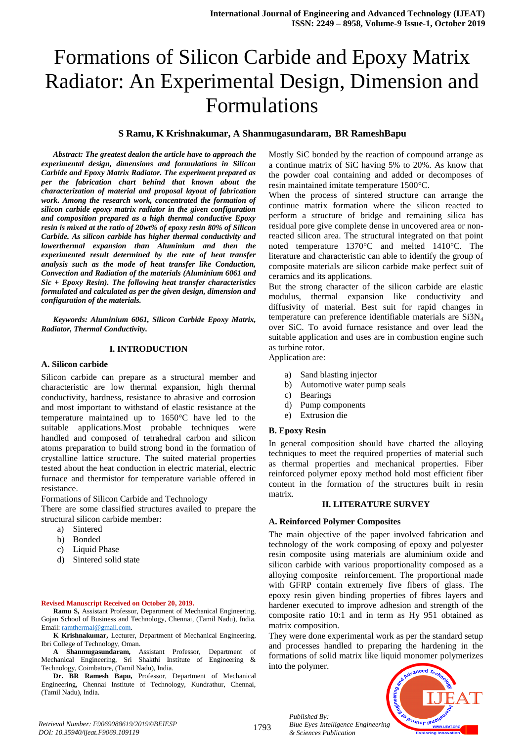# Formations of Silicon Carbide and Epoxy Matrix Radiator: An Experimental Design, Dimension and Formulations

#### **S Ramu, K Krishnakumar, A Shanmugasundaram, BR RameshBapu**

*Abstract: The greatest dealon the article have to approach the experimental design, dimensions and formulations in Silicon Carbide and Epoxy Matrix Radiator. The experiment prepared as per the fabrication chart behind that known about the characterization of material and proposal layout of fabrication work. Among the research work, concentrated the formation of silicon carbide epoxy matrix radiator in the given configuration and composition prepared as a high thermal conductive Epoxy resin is mixed at the ratio of 20wt% of epoxy resin 80% of Silicon Carbide. As silicon carbide has higher thermal conductivity and lowerthermal expansion than Aluminium and then the experimented result determined by the rate of heat transfer analysis such as the mode of heat transfer like Conduction, Convection and Radiation of the materials (Aluminium 6061 and Sic + Epoxy Resin). The following heat transfer characteristics formulated and calculated as per the given design, dimension and configuration of the materials.*

*Keywords: Aluminium 6061, Silicon Carbide Epoxy Matrix, Radiator, Thermal Conductivity.*

#### **I. INTRODUCTION**

#### **A. Silicon carbide**

Silicon carbide can prepare as a structural member and characteristic are low thermal expansion, high thermal conductivity, hardness, resistance to abrasive and corrosion and most important to withstand of elastic resistance at the temperature maintained up to 1650°C have led to the suitable applications.Most probable techniques were handled and composed of tetrahedral carbon and silicon atoms preparation to build strong bond in the formation of crystalline lattice structure. The suited material properties tested about the heat conduction in electric material, electric furnace and thermistor for temperature variable offered in resistance.

Formations of Silicon Carbide and Technology

There are some classified structures availed to prepare the structural silicon carbide member:

- a) Sintered
- b) Bonded
- c) Liquid Phase
- d) Sintered solid state

#### **Revised Manuscript Received on October 20, 2019.**

**Ramu S,** Assistant Professor, Department of Mechanical Engineering, Gojan School of Business and Technology, Chennai, (Tamil Nadu), India. Email[: ramthermal@gmail.com.](mailto:ramthermal@gmail.com)

**K Krishnakumar,** Lecturer, Department of Mechanical Engineering, Ibri College of Technology, Oman.

**A Shanmugasundaram,** Assistant Professor, Department of Mechanical Engineering, Sri Shakthi Institute of Engineering & Technology, Coimbatore, (Tamil Nadu), India.

**Dr. BR Ramesh Bapu,** Professor, Department of Mechanical Engineering, Chennai Institute of Technology, Kundrathur, Chennai, (Tamil Nadu), India.

Mostly SiC bonded by the reaction of compound arrange as a continue matrix of SiC having 5% to 20%. As know that the powder coal containing and added or decomposes of resin maintained imitate temperature 1500°C.

When the process of sintered structure can arrange the continue matrix formation where the silicon reacted to perform a structure of bridge and remaining silica has residual pore give complete dense in uncovered area or nonreacted silicon area. The structural integrated on that point noted temperature 1370°C and melted 1410°C. The literature and characteristic can able to identify the group of composite materials are silicon carbide make perfect suit of ceramics and its applications.

But the strong character of the silicon carbide are elastic modulus, thermal expansion like conductivity and diffusivity of material. Best suit for rapid changes in temperature can preference identifiable materials are Si3N<sub>4</sub> over SiC. To avoid furnace resistance and over lead the suitable application and uses are in combustion engine such as turbine rotor.

Application are:

- a) Sand blasting injector
- b) Automotive water pump seals
- c) Bearings
- d) Pump components
- e) Extrusion die

#### **B. Epoxy Resin**

In general composition should have charted the alloying techniques to meet the required properties of material such as thermal properties and mechanical properties. Fiber reinforced polymer epoxy method hold most efficient fiber content in the formation of the structures built in resin matrix.

#### **II. LITERATURE SURVEY**

#### **A. Reinforced Polymer Composites**

The main objective of the paper involved fabrication and technology of the work composing of epoxy and polyester resin composite using materials are aluminium oxide and silicon carbide with various proportionality composed as a alloying composite reinforcement. The proportional made with GFRP contain extremely five fibers of glass. The epoxy resin given binding properties of fibres layers and hardener executed to improve adhesion and strength of the composite ratio 10:1 and in term as Hy 951 obtained as matrix composition.

They were done experimental work as per the standard setup and processes handled to preparing the hardening in the formations of solid matrix like liquid monomer polymerizes into the polymer.



*Published By:*

*& Sciences Publication*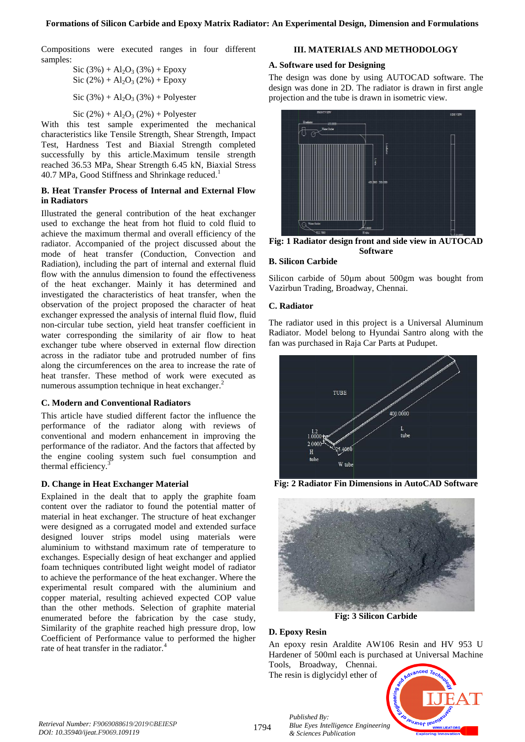Compositions were executed ranges in four different samples:

Sic (3%) + Al2O<sup>3</sup> (3%) + Epoxy Sic (2%) + Al2O<sup>3</sup> (2%) + Epoxy Sic (3%) + Al2O<sup>3</sup> (3%) + Polyester

Sic  $(2\%) + Al_2O_3(2\%) + Polyester$ 

With this test sample experimented the mechanical characteristics like Tensile Strength, Shear Strength, Impact Test, Hardness Test and Biaxial Strength completed successfully by this article.Maximum tensile strength reached 36.53 MPa, Shear Strength 6.45 kN, Biaxial Stress 40.7 MPa, Good Stiffness and Shrinkage reduced.<sup>1</sup>

# **B. Heat Transfer Process of Internal and External Flow in Radiators**

Illustrated the general contribution of the heat exchanger used to exchange the heat from hot fluid to cold fluid to achieve the maximum thermal and overall efficiency of the radiator. Accompanied of the project discussed about the mode of heat transfer (Conduction, Convection and Radiation), including the part of internal and external fluid flow with the annulus dimension to found the effectiveness of the heat exchanger. Mainly it has determined and investigated the characteristics of heat transfer, when the observation of the project proposed the character of heat exchanger expressed the analysis of internal fluid flow, fluid non-circular tube section, yield heat transfer coefficient in water corresponding the similarity of air flow to heat exchanger tube where observed in external flow direction across in the radiator tube and protruded number of fins along the circumferences on the area to increase the rate of heat transfer. These method of work were executed as numerous assumption technique in heat exchanger.<sup>2</sup>

# **C. Modern and Conventional Radiators**

This article have studied different factor the influence the performance of the radiator along with reviews of conventional and modern enhancement in improving the performance of the radiator. And the factors that affected by the engine cooling system such fuel consumption and thermal efficiency.<sup>3</sup>

# **D. Change in Heat Exchanger Material**

Explained in the dealt that to apply the graphite foam content over the radiator to found the potential matter of material in heat exchanger. The structure of heat exchanger were designed as a corrugated model and extended surface designed louver strips model using materials were aluminium to withstand maximum rate of temperature to exchanges. Especially design of heat exchanger and applied foam techniques contributed light weight model of radiator to achieve the performance of the heat exchanger. Where the experimental result compared with the aluminium and copper material, resulting achieved expected COP value than the other methods. Selection of graphite material enumerated before the fabrication by the case study, Similarity of the graphite reached high pressure drop, low Coefficient of Performance value to performed the higher rate of heat transfer in the radiator.

# **III. MATERIALS AND METHODOLOGY**

# **A. Software used for Designing**

The design was done by using AUTOCAD software. The design was done in 2D. The radiator is drawn in first angle projection and the tube is drawn in isometric view.



**Fig: 1 Radiator design front and side view in AUTOCAD Software**

# **B. Silicon Carbide**

Silicon carbide of 50um about 500gm was bought from Vazirbun Trading, Broadway, Chennai.

# **C. Radiator**

The radiator used in this project is a Universal Aluminum Radiator. Model belong to Hyundai Santro along with the fan was purchased in Raja Car Parts at Pudupet.



**Fig: 2 Radiator Fin Dimensions in AutoCAD Software**



**Fig: 3 Silicon Carbide**

## **D. Epoxy Resin**

An epoxy resin Araldite AW106 Resin and HV 953 U Hardener of 500ml each is purchased at Universal Machine Tools, Broadway, Chennai.

The resin is diglycidyl ether of



1794

*Published By: Blue Eyes Intelligence Engineering & Sciences Publication*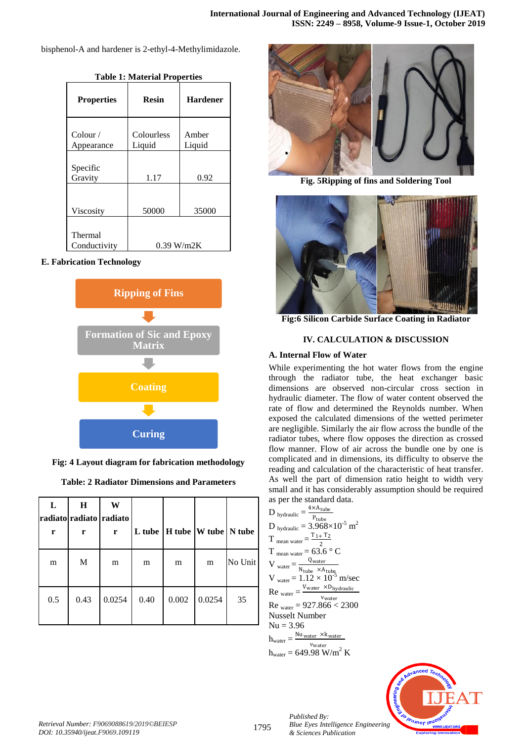bisphenol-A and hardener is 2-ethyl-4-Methylimidazole.

| <b>Properties</b>               | <b>Resin</b>         | <b>Hardener</b> |  |
|---------------------------------|----------------------|-----------------|--|
| $\text{Color } /$<br>Appearance | Colourless<br>Liquid | Amber<br>Liquid |  |
| Specific<br>Gravity             | 1.17                 | 0.92            |  |
| Viscosity                       | 50000                | 35000           |  |
| Thermal<br>Conductivity         | $0.39$ W/m2K         |                 |  |

**Table 1: Material Properties**

## **E. Fabrication Technology**



**Fig: 4 Layout diagram for fabrication methodology**

| <b>Table: 2 Radiator Dimensions and Parameters</b> |  |  |
|----------------------------------------------------|--|--|
|----------------------------------------------------|--|--|

| L<br>r | H<br>radiato radiato radiato<br>r | W<br>r |      | L tube   H tube $ W $ tube   N tube |        |         |
|--------|-----------------------------------|--------|------|-------------------------------------|--------|---------|
| m      | M                                 | m      | m    | m                                   | m      | No Unit |
| 0.5    | 0.43                              | 0.0254 | 0.40 | 0.002                               | 0.0254 | 35      |



**Fig. 5Ripping of fins and Soldering Tool**



**Fig:6 Silicon Carbide Surface Coating in Radiator**

# **IV. CALCULATION & DISCUSSION**

# **A. Internal Flow of Water**

While experimenting the hot water flows from the engine through the radiator tube, the heat exchanger basic dimensions are observed non-circular cross section in hydraulic diameter. The flow of water content observed the rate of flow and determined the Reynolds number. When exposed the calculated dimensions of the wetted perimeter are negligible. Similarly the air flow across the bundle of the radiator tubes, where flow opposes the direction as crossed flow manner. Flow of air across the bundle one by one is complicated and in dimensions, its difficulty to observe the reading and calculation of the characteristic of heat transfer. As well the part of dimension ratio height to width very small and it has considerably assumption should be required as per the standard data.

| $D_{\text{hydraulic}} = \frac{4 \times A_{\text{tube}}}{P_{\text{tube}}}$                                                        |
|----------------------------------------------------------------------------------------------------------------------------------|
| D <sub>hydraulic</sub> = $3.968\times10^{-5}$ m <sup>2</sup>                                                                     |
| $T_{\text{mean water}} = \frac{T_{1+} T_2}{2}$                                                                                   |
| $T_{mean water} = 63.6 ° C$                                                                                                      |
| V water = $\frac{Q_{\text{water}}}{N_{\text{tube}} \times A_{\text{tube}}}}$<br>V <sub>water</sub> = $1.12 \times 10^{-5}$ m/sec |
|                                                                                                                                  |
| $\text{Re}_{\text{water}} = \frac{V_{\text{water}} \times D_{\text{hydraulic}}}{V}$<br>Vwater                                    |
| $Re_{water} = 927.866 < 2300$                                                                                                    |
| <b>Nusselt Number</b>                                                                                                            |
| $Nu = 3.96$                                                                                                                      |
| $h_{\text{water}} = \frac{\text{Nu water} \times \text{k}_{\text{water}}}{\text{Nu_{\text{water}}}}$                             |
| $v_{\text{water}}$<br>$h_{\text{water}} = 649.98 \text{ W/m}^2 \text{ K}$                                                        |
|                                                                                                                                  |

*Published By:*

*& Sciences Publication* 



*Retrieval Number: F9069088619/2019©BEIESP DOI: 10.35940/ijeat.F9069.109119*